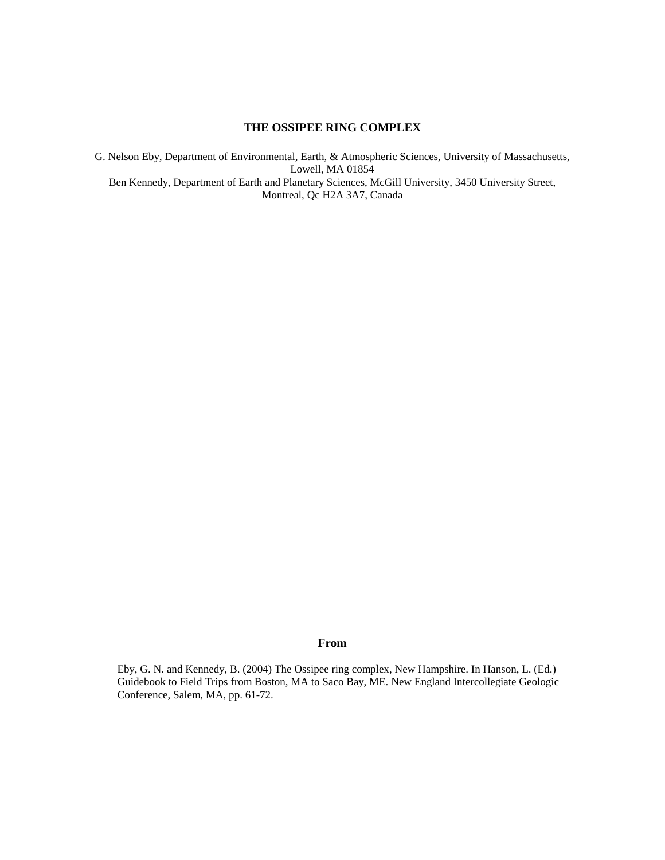# **THE OSSIPEE RING COMPLEX**

G. Nelson Eby, Department of Environmental, Earth, & Atmospheric Sciences, University of Massachusetts, Lowell, MA 01854 Ben Kennedy, Department of Earth and Planetary Sciences, McGill University, 3450 University Street, Montreal, Qc H2A 3A7, Canada

#### **From**

Eby, G. N. and Kennedy, B. (2004) The Ossipee ring complex, New Hampshire. In Hanson, L. (Ed.) Guidebook to Field Trips from Boston, MA to Saco Bay, ME. New England Intercollegiate Geologic Conference, Salem, MA, pp. 61-72.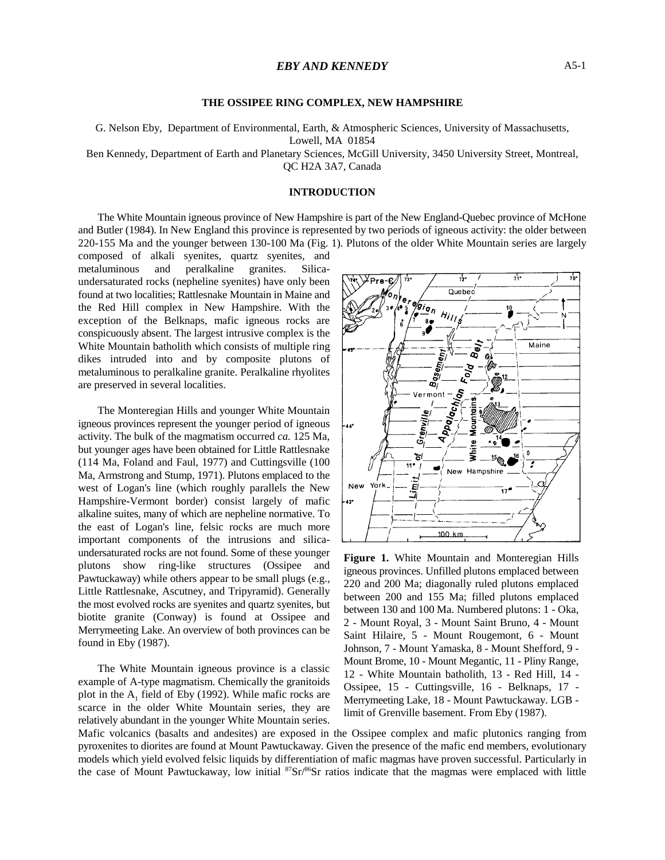#### **THE OSSIPEE RING COMPLEX, NEW HAMPSHIRE**

G. Nelson Eby, Department of Environmental, Earth, & Atmospheric Sciences, University of Massachusetts, Lowell, MA 01854

Ben Kennedy, Department of Earth and Planetary Sciences, McGill University, 3450 University Street, Montreal, QC H2A 3A7, Canada

#### **INTRODUCTION**

The White Mountain igneous province of New Hampshire is part of the New England-Quebec province of McHone and Butler (1984). In New England this province is represented by two periods of igneous activity: the older between 220-155 Ma and the younger between 130-100 Ma (Fig. 1). Plutons of the older White Mountain series are largely

composed of alkali syenites, quartz syenites, and metaluminous and peralkaline granites. Silicaundersaturated rocks (nepheline syenites) have only been found at two localities; Rattlesnake Mountain in Maine and the Red Hill complex in New Hampshire. With the exception of the Belknaps, mafic igneous rocks are conspicuously absent. The largest intrusive complex is the White Mountain batholith which consists of multiple ring dikes intruded into and by composite plutons of metaluminous to peralkaline granite. Peralkaline rhyolites are preserved in several localities.

The Monteregian Hills and younger White Mountain igneous provinces represent the younger period of igneous activity. The bulk of the magmatism occurred *ca.* 125 Ma, but younger ages have been obtained for Little Rattlesnake (114 Ma, Foland and Faul, 1977) and Cuttingsville (100 Ma, Armstrong and Stump, 1971). Plutons emplaced to the west of Logan's line (which roughly parallels the New Hampshire-Vermont border) consist largely of mafic alkaline suites, many of which are nepheline normative. To the east of Logan's line, felsic rocks are much more important components of the intrusions and silicaundersaturated rocks are not found. Some of these younger plutons show ring-like structures (Ossipee and Pawtuckaway) while others appear to be small plugs (e.g., Little Rattlesnake, Ascutney, and Tripyramid). Generally the most evolved rocks are syenites and quartz syenites, but biotite granite (Conway) is found at Ossipee and Merrymeeting Lake. An overview of both provinces can be found in Eby (1987).

The White Mountain igneous province is a classic example of A-type magmatism. Chemically the granitoids plot in the  $A_1$  field of Eby (1992). While mafic rocks are scarce in the older White Mountain series, they are relatively abundant in the younger White Mountain series.



**Figure 1.** White Mountain and Monteregian Hills igneous provinces. Unfilled plutons emplaced between 220 and 200 Ma; diagonally ruled plutons emplaced between 200 and 155 Ma; filled plutons emplaced between 130 and 100 Ma. Numbered plutons: 1 - Oka, 2 - Mount Royal, 3 - Mount Saint Bruno, 4 - Mount Saint Hilaire, 5 - Mount Rougemont, 6 - Mount Johnson, 7 - Mount Yamaska, 8 - Mount Shefford, 9 - Mount Brome, 10 - Mount Megantic, 11 - Pliny Range, 12 - White Mountain batholith, 13 - Red Hill, 14 - Ossipee, 15 - Cuttingsville, 16 - Belknaps, 17 - Merrymeeting Lake, 18 - Mount Pawtuckaway. LGB limit of Grenville basement. From Eby (1987).

Mafic volcanics (basalts and andesites) are exposed in the Ossipee complex and mafic plutonics ranging from pyroxenites to diorites are found at Mount Pawtuckaway. Given the presence of the mafic end members, evolutionary models which yield evolved felsic liquids by differentiation of mafic magmas have proven successful. Particularly in the case of Mount Pawtuckaway, low initial  ${}^{87}Sr/{}^{86}Sr$  ratios indicate that the magmas were emplaced with little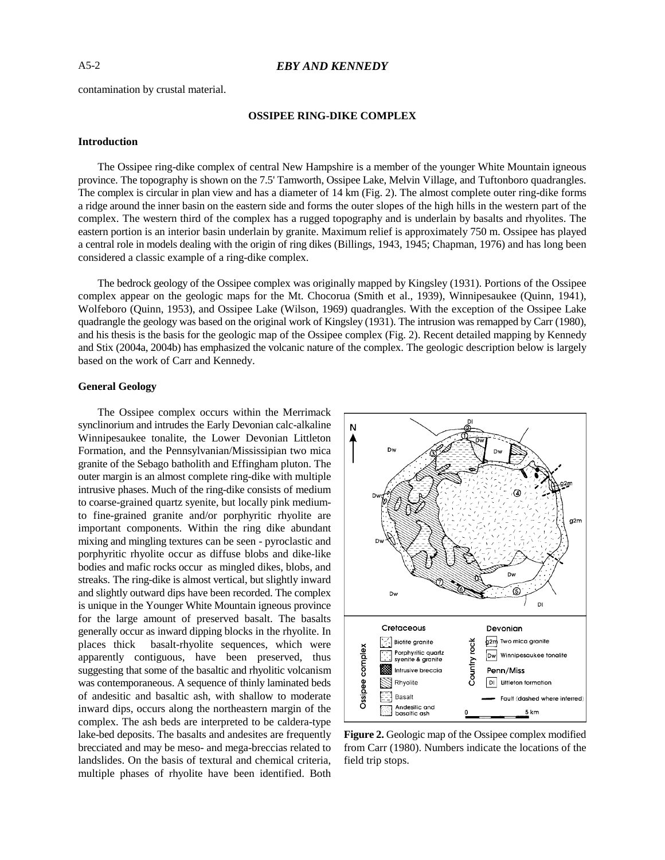contamination by crustal material.

## **OSSIPEE RING-DIKE COMPLEX**

#### **Introduction**

The Ossipee ring-dike complex of central New Hampshire is a member of the younger White Mountain igneous province. The topography is shown on the 7.5' Tamworth, Ossipee Lake, Melvin Village, and Tuftonboro quadrangles. The complex is circular in plan view and has a diameter of 14 km (Fig. 2). The almost complete outer ring-dike forms a ridge around the inner basin on the eastern side and forms the outer slopes of the high hills in the western part of the complex. The western third of the complex has a rugged topography and is underlain by basalts and rhyolites. The eastern portion is an interior basin underlain by granite. Maximum relief is approximately 750 m. Ossipee has played a central role in models dealing with the origin of ring dikes (Billings, 1943, 1945; Chapman, 1976) and has long been considered a classic example of a ring-dike complex.

The bedrock geology of the Ossipee complex was originally mapped by Kingsley (1931). Portions of the Ossipee complex appear on the geologic maps for the Mt. Chocorua (Smith et al., 1939), Winnipesaukee (Quinn, 1941), Wolfeboro (Quinn, 1953), and Ossipee Lake (Wilson, 1969) quadrangles. With the exception of the Ossipee Lake quadrangle the geology was based on the original work of Kingsley (1931). The intrusion was remapped by Carr (1980), and his thesis is the basis for the geologic map of the Ossipee complex (Fig. 2). Recent detailed mapping by Kennedy and Stix (2004a, 2004b) has emphasized the volcanic nature of the complex. The geologic description below is largely based on the work of Carr and Kennedy.

#### **General Geology**

The Ossipee complex occurs within the Merrimack synclinorium and intrudes the Early Devonian calc-alkaline Winnipesaukee tonalite, the Lower Devonian Littleton Formation, and the Pennsylvanian/Mississipian two mica granite of the Sebago batholith and Effingham pluton. The outer margin is an almost complete ring-dike with multiple intrusive phases. Much of the ring-dike consists of medium to coarse-grained quartz syenite, but locally pink mediumto fine-grained granite and/or porphyritic rhyolite are important components. Within the ring dike abundant mixing and mingling textures can be seen - pyroclastic and porphyritic rhyolite occur as diffuse blobs and dike-like bodies and mafic rocks occur as mingled dikes, blobs, and streaks. The ring-dike is almost vertical, but slightly inward and slightly outward dips have been recorded. The complex is unique in the Younger White Mountain igneous province for the large amount of preserved basalt. The basalts generally occur as inward dipping blocks in the rhyolite. In places thick basalt-rhyolite sequences, which were apparently contiguous, have been preserved, thus suggesting that some of the basaltic and rhyolitic volcanism was contemporaneous. A sequence of thinly laminated beds of andesitic and basaltic ash, with shallow to moderate inward dips, occurs along the northeastern margin of the complex. The ash beds are interpreted to be caldera-type lake-bed deposits. The basalts and andesites are frequently brecciated and may be meso- and mega-breccias related to landslides. On the basis of textural and chemical criteria, multiple phases of rhyolite have been identified. Both



**Figure 2.** Geologic map of the Ossipee complex modified from Carr (1980). Numbers indicate the locations of the field trip stops.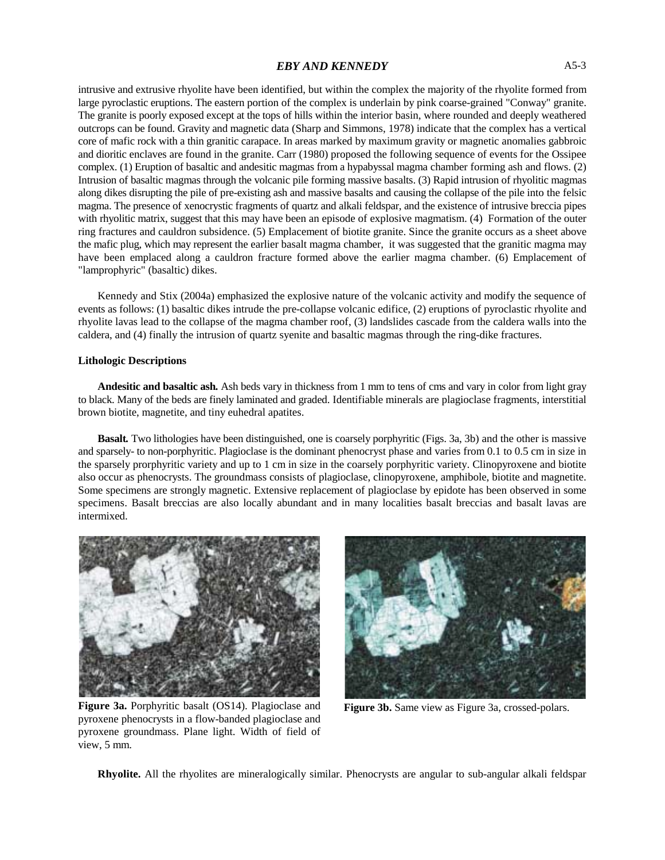intrusive and extrusive rhyolite have been identified, but within the complex the majority of the rhyolite formed from large pyroclastic eruptions. The eastern portion of the complex is underlain by pink coarse-grained "Conway" granite. The granite is poorly exposed except at the tops of hills within the interior basin, where rounded and deeply weathered outcrops can be found. Gravity and magnetic data (Sharp and Simmons, 1978) indicate that the complex has a vertical core of mafic rock with a thin granitic carapace. In areas marked by maximum gravity or magnetic anomalies gabbroic and dioritic enclaves are found in the granite. Carr (1980) proposed the following sequence of events for the Ossipee complex. (1) Eruption of basaltic and andesitic magmas from a hypabyssal magma chamber forming ash and flows. (2) Intrusion of basaltic magmas through the volcanic pile forming massive basalts. (3) Rapid intrusion of rhyolitic magmas along dikes disrupting the pile of pre-existing ash and massive basalts and causing the collapse of the pile into the felsic magma. The presence of xenocrystic fragments of quartz and alkali feldspar, and the existence of intrusive breccia pipes with rhyolitic matrix, suggest that this may have been an episode of explosive magmatism. (4) Formation of the outer ring fractures and cauldron subsidence. (5) Emplacement of biotite granite. Since the granite occurs as a sheet above the mafic plug, which may represent the earlier basalt magma chamber, it was suggested that the granitic magma may have been emplaced along a cauldron fracture formed above the earlier magma chamber. (6) Emplacement of "lamprophyric" (basaltic) dikes.

Kennedy and Stix (2004a) emphasized the explosive nature of the volcanic activity and modify the sequence of events as follows: (1) basaltic dikes intrude the pre-collapse volcanic edifice, (2) eruptions of pyroclastic rhyolite and rhyolite lavas lead to the collapse of the magma chamber roof, (3) landslides cascade from the caldera walls into the caldera, and (4) finally the intrusion of quartz syenite and basaltic magmas through the ring-dike fractures.

#### **Lithologic Descriptions**

**Andesitic and basaltic ash***.* Ash beds vary in thickness from 1 mm to tens of cms and vary in color from light gray to black. Many of the beds are finely laminated and graded. Identifiable minerals are plagioclase fragments, interstitial brown biotite, magnetite, and tiny euhedral apatites.

**Basalt***.* Two lithologies have been distinguished, one is coarsely porphyritic (Figs. 3a, 3b) and the other is massive and sparsely- to non-porphyritic. Plagioclase is the dominant phenocryst phase and varies from 0.1 to 0.5 cm in size in the sparsely prorphyritic variety and up to 1 cm in size in the coarsely porphyritic variety. Clinopyroxene and biotite also occur as phenocrysts. The groundmass consists of plagioclase, clinopyroxene, amphibole, biotite and magnetite. Some specimens are strongly magnetic. Extensive replacement of plagioclase by epidote has been observed in some specimens. Basalt breccias are also locally abundant and in many localities basalt breccias and basalt lavas are intermixed.



**Figure 3a.** Porphyritic basalt (OS14). Plagioclase and pyroxene phenocrysts in a flow-banded plagioclase and pyroxene groundmass. Plane light. Width of field of view, 5 mm.



**Figure 3b.** Same view as Figure 3a, crossed-polars.

**Rhyolite.** All the rhyolites are mineralogically similar. Phenocrysts are angular to sub-angular alkali feldspar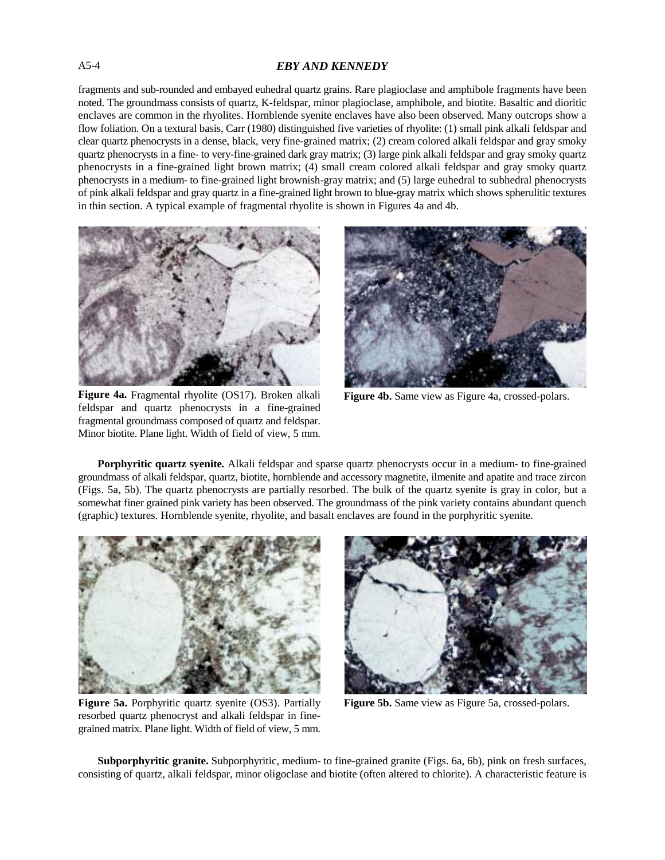# A5-4 *EBY AND KENNEDY*

fragments and sub-rounded and embayed euhedral quartz grains. Rare plagioclase and amphibole fragments have been noted. The groundmass consists of quartz, K-feldspar, minor plagioclase, amphibole, and biotite. Basaltic and dioritic enclaves are common in the rhyolites. Hornblende syenite enclaves have also been observed. Many outcrops show a flow foliation. On a textural basis, Carr (1980) distinguished five varieties of rhyolite: (1) small pink alkali feldspar and clear quartz phenocrysts in a dense, black, very fine-grained matrix; (2) cream colored alkali feldspar and gray smoky quartz phenocrysts in a fine- to very-fine-grained dark gray matrix; (3) large pink alkali feldspar and gray smoky quartz phenocrysts in a fine-grained light brown matrix; (4) small cream colored alkali feldspar and gray smoky quartz phenocrysts in a medium- to fine-grained light brownish-gray matrix; and (5) large euhedral to subhedral phenocrysts of pink alkali feldspar and gray quartz in a fine-grained light brown to blue-gray matrix which shows spherulitic textures in thin section. A typical example of fragmental rhyolite is shown in Figures 4a and 4b.



**Figure 4a.** Fragmental rhyolite (OS17). Broken alkali feldspar and quartz phenocrysts in a fine-grained fragmental groundmass composed of quartz and feldspar. Minor biotite. Plane light. Width of field of view, 5 mm.



**Figure 4b.** Same view as Figure 4a, crossed-polars.

**Porphyritic quartz syenite***.* Alkali feldspar and sparse quartz phenocrysts occur in a medium- to fine-grained groundmass of alkali feldspar, quartz, biotite, hornblende and accessory magnetite, ilmenite and apatite and trace zircon (Figs. 5a, 5b). The quartz phenocrysts are partially resorbed. The bulk of the quartz syenite is gray in color, but a somewhat finer grained pink variety has been observed. The groundmass of the pink variety contains abundant quench (graphic) textures. Hornblende syenite, rhyolite, and basalt enclaves are found in the porphyritic syenite.



**Figure 5a.** Porphyritic quartz syenite (OS3). Partially **Figure 5b.** Same view as Figure 5a, crossed-polars. resorbed quartz phenocryst and alkali feldspar in finegrained matrix. Plane light. Width of field of view, 5 mm.



**Subporphyritic granite.** Subporphyritic, medium- to fine-grained granite (Figs. 6a, 6b), pink on fresh surfaces, consisting of quartz, alkali feldspar, minor oligoclase and biotite (often altered to chlorite). A characteristic feature is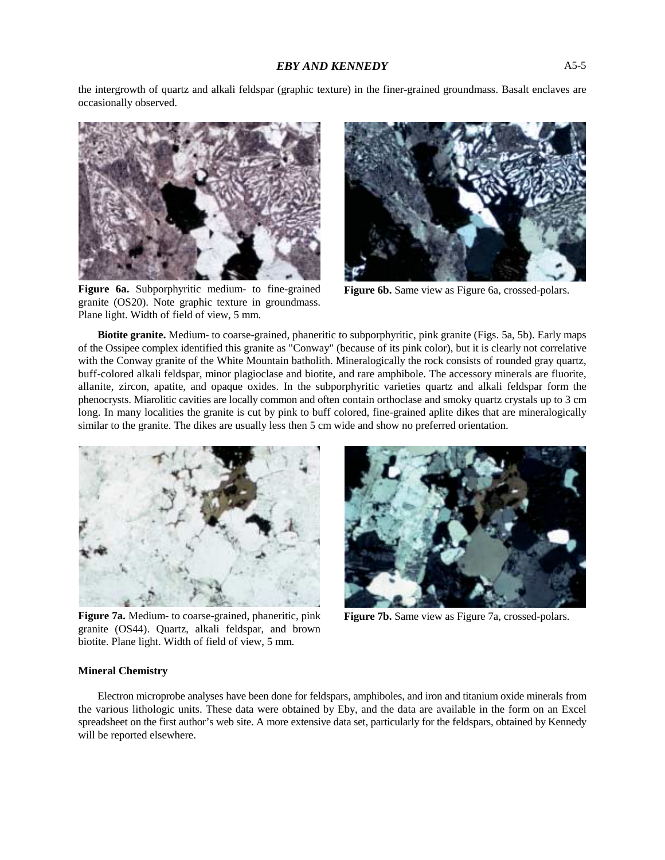the intergrowth of quartz and alkali feldspar (graphic texture) in the finer-grained groundmass. Basalt enclaves are occasionally observed.



**Figure 6a.** Subporphyritic medium- to fine-grained **Figure 6b.** Same view as Figure 6a, crossed-polars. granite (OS20). Note graphic texture in groundmass. Plane light. Width of field of view, 5 mm.



**Biotite granite.** Medium- to coarse-grained, phaneritic to subporphyritic, pink granite (Figs. 5a, 5b). Early maps of the Ossipee complex identified this granite as "Conway" (because of its pink color), but it is clearly not correlative with the Conway granite of the White Mountain batholith. Mineralogically the rock consists of rounded gray quartz, buff-colored alkali feldspar, minor plagioclase and biotite, and rare amphibole. The accessory minerals are fluorite, allanite, zircon, apatite, and opaque oxides. In the subporphyritic varieties quartz and alkali feldspar form the phenocrysts. Miarolitic cavities are locally common and often contain orthoclase and smoky quartz crystals up to 3 cm long. In many localities the granite is cut by pink to buff colored, fine-grained aplite dikes that are mineralogically similar to the granite. The dikes are usually less then 5 cm wide and show no preferred orientation.



**Figure 7a.** Medium- to coarse-grained, phaneritic, pink granite (OS44). Quartz, alkali feldspar, and brown biotite. Plane light. Width of field of view, 5 mm.



**Figure 7b.** Same view as Figure 7a, crossed-polars.

#### **Mineral Chemistry**

Electron microprobe analyses have been done for feldspars, amphiboles, and iron and titanium oxide minerals from the various lithologic units. These data were obtained by Eby, and the data are available in the form on an Excel spreadsheet on the first author's web site. A more extensive data set, particularly for the feldspars, obtained by Kennedy will be reported elsewhere.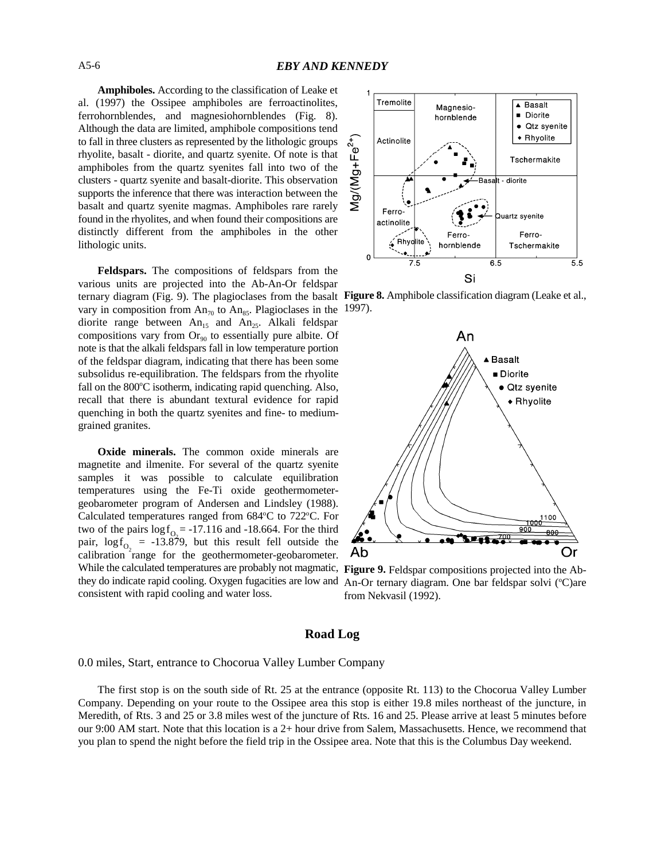**Amphiboles.** According to the classification of Leake et al. (1997) the Ossipee amphiboles are ferroactinolites, ferrohornblendes, and magnesiohornblendes (Fig. 8). Although the data are limited, amphibole compositions tend to fall in three clusters as represented by the lithologic groups rhyolite, basalt - diorite, and quartz syenite. Of note is that amphiboles from the quartz syenites fall into two of the clusters - quartz syenite and basalt-diorite. This observation supports the inference that there was interaction between the basalt and quartz syenite magmas. Amphiboles rare rarely found in the rhyolites, and when found their compositions are distinctly different from the amphiboles in the other lithologic units.

**Feldspars.** The compositions of feldspars from the various units are projected into the Ab-An-Or feldspar ternary diagram (Fig. 9). The plagioclases from the basalt vary in composition from  $An_{70}$  to  $An_{85}$ . Plagioclases in the diorite range between  $An_{15}$  and  $An_{25}$ . Alkali feldspar compositions vary from  $Or_{90}$  to essentially pure albite. Of note is that the alkali feldspars fall in low temperature portion of the feldspar diagram, indicating that there has been some subsolidus re-equilibration. The feldspars from the rhyolite fall on the  $800^{\circ}$ C isotherm, indicating rapid quenching. Also, recall that there is abundant textural evidence for rapid quenching in both the quartz syenites and fine- to mediumgrained granites.

two of the pairs  $\log f_{Q_2} = -17.116$  and  $-18.664$ . For the third pair,  $\log f_{O_2}$  = -13.879, but this result fell outside the **Oxide minerals.** The common oxide minerals are magnetite and ilmenite. For several of the quartz syenite samples it was possible to calculate equilibration temperatures using the Fe-Ti oxide geothermometergeobarometer program of Andersen and Lindsley (1988). Calculated temperatures ranged from  $684^{\circ}$ C to  $722^{\circ}$ C. For calibration range for the geothermometer-geobarometer. While the calculated temperatures are probably not magmatic, they do indicate rapid cooling. Oxygen fugacities are low and consistent with rapid cooling and water loss.



**Figure 8.** Amphibole classification diagram (Leake et al., 1997).



**Figure 9.** Feldspar compositions projected into the Ab-An-Or ternary diagram. One bar feldspar solvi  $(°C)$ are from Nekvasil (1992).

## **Road Log**

0.0 miles, Start, entrance to Chocorua Valley Lumber Company

The first stop is on the south side of Rt. 25 at the entrance (opposite Rt. 113) to the Chocorua Valley Lumber Company. Depending on your route to the Ossipee area this stop is either 19.8 miles northeast of the juncture, in Meredith, of Rts. 3 and 25 or 3.8 miles west of the juncture of Rts. 16 and 25. Please arrive at least 5 minutes before our 9:00 AM start. Note that this location is a 2+ hour drive from Salem, Massachusetts. Hence, we recommend that you plan to spend the night before the field trip in the Ossipee area. Note that this is the Columbus Day weekend.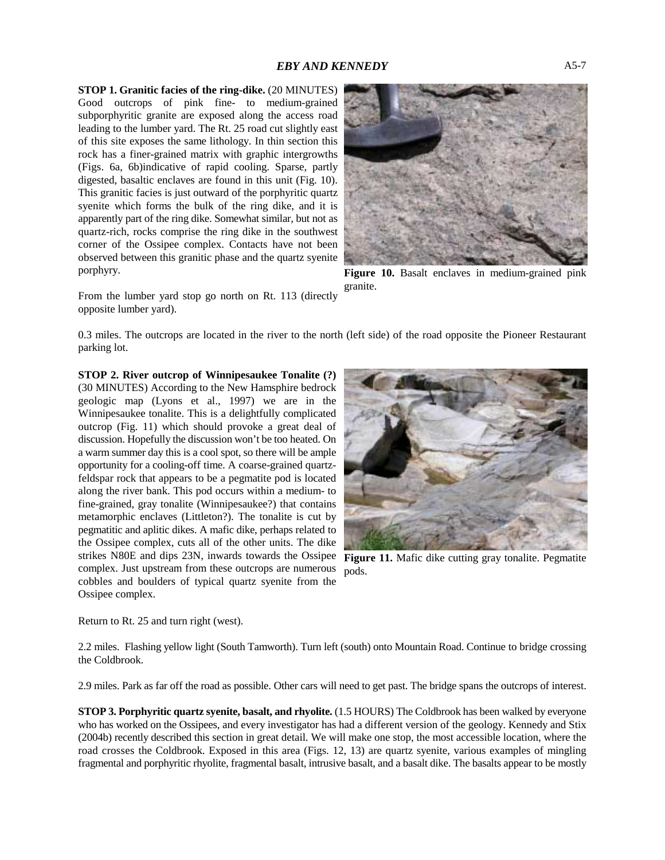**STOP 1. Granitic facies of the ring-dike.** (20 MINUTES) Good outcrops of pink fine- to medium-grained subporphyritic granite are exposed along the access road leading to the lumber yard. The Rt. 25 road cut slightly east of this site exposes the same lithology. In thin section this rock has a finer-grained matrix with graphic intergrowths (Figs. 6a, 6b)indicative of rapid cooling. Sparse, partly digested, basaltic enclaves are found in this unit (Fig. 10). This granitic facies is just outward of the porphyritic quartz syenite which forms the bulk of the ring dike, and it is apparently part of the ring dike. Somewhat similar, but not as quartz-rich, rocks comprise the ring dike in the southwest corner of the Ossipee complex. Contacts have not been observed between this granitic phase and the quartz syenite porphyry.



**Figure 10.** Basalt enclaves in medium-grained pink granite.

From the lumber yard stop go north on Rt. 113 (directly opposite lumber yard).

0.3 miles. The outcrops are located in the river to the north (left side) of the road opposite the Pioneer Restaurant parking lot.

**STOP 2. River outcrop of Winnipesaukee Tonalite (?)** (30 MINUTES) According to the New Hamsphire bedrock geologic map (Lyons et al., 1997) we are in the Winnipesaukee tonalite. This is a delightfully complicated outcrop (Fig. 11) which should provoke a great deal of discussion. Hopefully the discussion won't be too heated. On a warm summer day this is a cool spot, so there will be ample opportunity for a cooling-off time. A coarse-grained quartzfeldspar rock that appears to be a pegmatite pod is located along the river bank. This pod occurs within a medium- to fine-grained, gray tonalite (Winnipesaukee?) that contains metamorphic enclaves (Littleton?). The tonalite is cut by pegmatitic and aplitic dikes. A mafic dike, perhaps related to the Ossipee complex, cuts all of the other units. The dike strikes N80E and dips 23N, inwards towards the Ossipee complex. Just upstream from these outcrops are numerous cobbles and boulders of typical quartz syenite from the Ossipee complex.



Figure 11. Mafic dike cutting gray tonalite. Pegmatite pods.

Return to Rt. 25 and turn right (west).

2.2 miles. Flashing yellow light (South Tamworth). Turn left (south) onto Mountain Road. Continue to bridge crossing the Coldbrook.

2.9 miles. Park as far off the road as possible. Other cars will need to get past. The bridge spans the outcrops of interest.

**STOP 3. Porphyritic quartz syenite, basalt, and rhyolite.** (1.5 HOURS) The Coldbrook has been walked by everyone who has worked on the Ossipees, and every investigator has had a different version of the geology. Kennedy and Stix (2004b) recently described this section in great detail. We will make one stop, the most accessible location, where the road crosses the Coldbrook. Exposed in this area (Figs. 12, 13) are quartz syenite, various examples of mingling fragmental and porphyritic rhyolite, fragmental basalt, intrusive basalt, and a basalt dike. The basalts appear to be mostly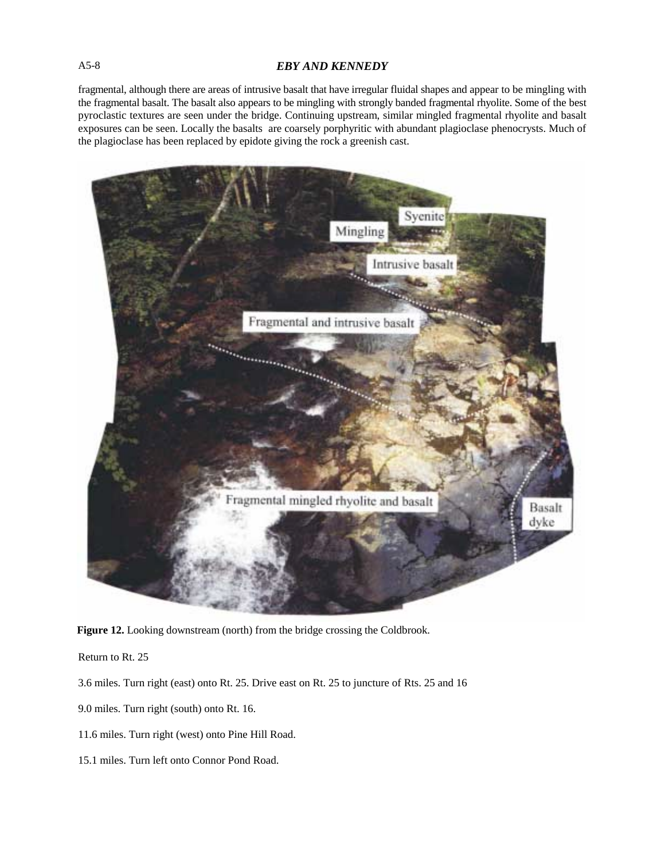# A5-8 *EBY AND KENNEDY*

fragmental, although there are areas of intrusive basalt that have irregular fluidal shapes and appear to be mingling with the fragmental basalt. The basalt also appears to be mingling with strongly banded fragmental rhyolite. Some of the best pyroclastic textures are seen under the bridge. Continuing upstream, similar mingled fragmental rhyolite and basalt exposures can be seen. Locally the basalts are coarsely porphyritic with abundant plagioclase phenocrysts. Much of the plagioclase has been replaced by epidote giving the rock a greenish cast.



**Figure 12.** Looking downstream (north) from the bridge crossing the Coldbrook.

Return to Rt. 25

- 3.6 miles. Turn right (east) onto Rt. 25. Drive east on Rt. 25 to juncture of Rts. 25 and 16
- 9.0 miles. Turn right (south) onto Rt. 16.
- 11.6 miles. Turn right (west) onto Pine Hill Road.
- 15.1 miles. Turn left onto Connor Pond Road.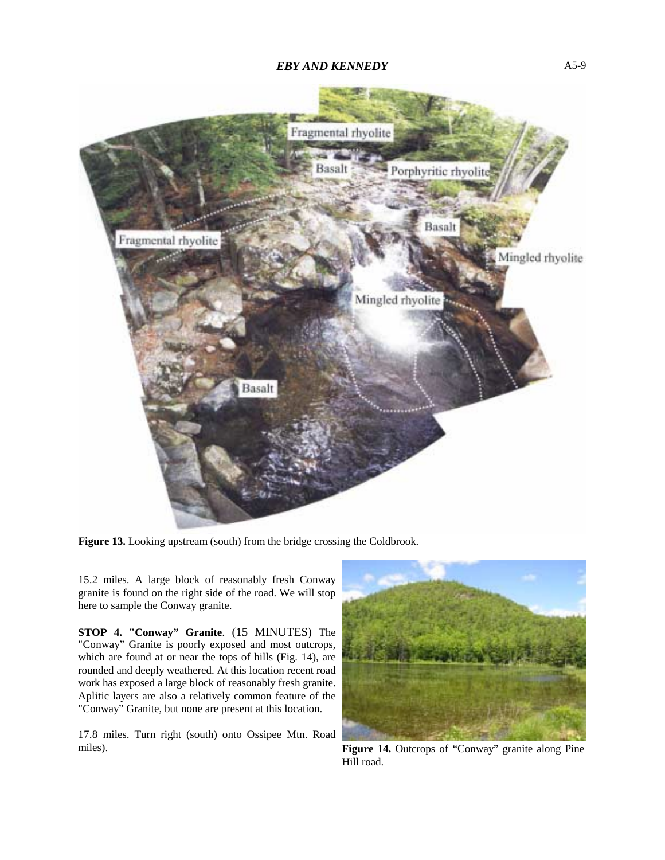

**Figure 13.** Looking upstream (south) from the bridge crossing the Coldbrook.

15.2 miles. A large block of reasonably fresh Conway granite is found on the right side of the road. We will stop here to sample the Conway granite.

**STOP 4. "Conway" Granite**. (15 MINUTES) The "Conway" Granite is poorly exposed and most outcrops, which are found at or near the tops of hills (Fig. 14), are rounded and deeply weathered. At this location recent road work has exposed a large block of reasonably fresh granite. Aplitic layers are also a relatively common feature of the "Conway" Granite, but none are present at this location.

17.8 miles. Turn right (south) onto Ossipee Mtn. Road miles).



**Figure 14.** Outcrops of "Conway" granite along Pine Hill road.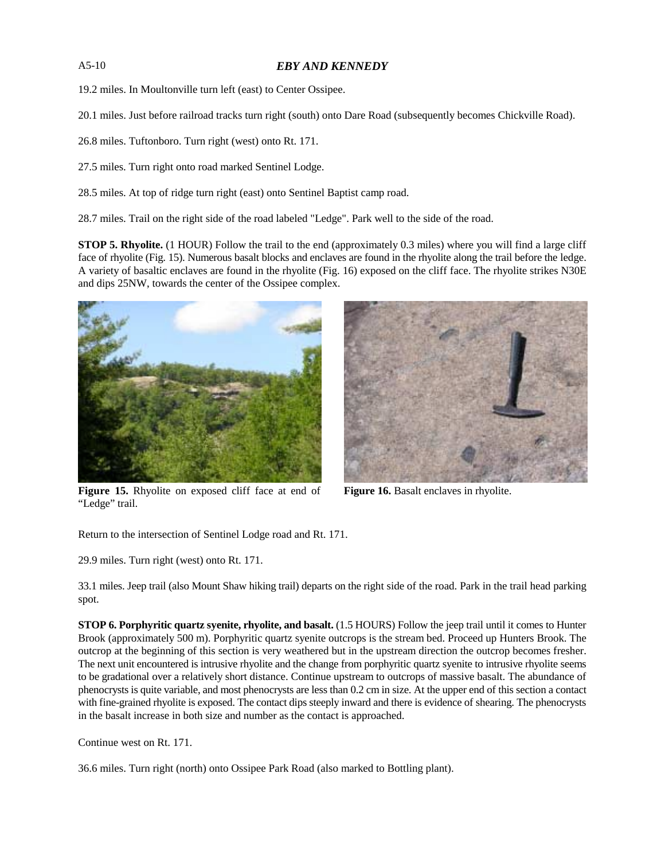# A5-10 *EBY AND KENNEDY*

19.2 miles. In Moultonville turn left (east) to Center Ossipee.

20.1 miles. Just before railroad tracks turn right (south) onto Dare Road (subsequently becomes Chickville Road).

26.8 miles. Tuftonboro. Turn right (west) onto Rt. 171.

27.5 miles. Turn right onto road marked Sentinel Lodge.

28.5 miles. At top of ridge turn right (east) onto Sentinel Baptist camp road.

28.7 miles. Trail on the right side of the road labeled "Ledge". Park well to the side of the road.

**STOP 5. Rhyolite.** (1 HOUR) Follow the trail to the end (approximately 0.3 miles) where you will find a large cliff face of rhyolite (Fig. 15). Numerous basalt blocks and enclaves are found in the rhyolite along the trail before the ledge. A variety of basaltic enclaves are found in the rhyolite (Fig. 16) exposed on the cliff face. The rhyolite strikes N30E and dips 25NW, towards the center of the Ossipee complex.



**Figure 15.** Rhyolite on exposed cliff face at end of "Ledge" trail.

**Figure 16.** Basalt enclaves in rhyolite.

Return to the intersection of Sentinel Lodge road and Rt. 171.

29.9 miles. Turn right (west) onto Rt. 171.

33.1 miles. Jeep trail (also Mount Shaw hiking trail) departs on the right side of the road. Park in the trail head parking spot.

**STOP 6. Porphyritic quartz syenite, rhyolite, and basalt.** (1.5 HOURS) Follow the jeep trail until it comes to Hunter Brook (approximately 500 m). Porphyritic quartz syenite outcrops is the stream bed. Proceed up Hunters Brook. The outcrop at the beginning of this section is very weathered but in the upstream direction the outcrop becomes fresher. The next unit encountered is intrusive rhyolite and the change from porphyritic quartz syenite to intrusive rhyolite seems to be gradational over a relatively short distance. Continue upstream to outcrops of massive basalt. The abundance of phenocrysts is quite variable, and most phenocrysts are less than 0.2 cm in size. At the upper end of this section a contact with fine-grained rhyolite is exposed. The contact dips steeply inward and there is evidence of shearing. The phenocrysts in the basalt increase in both size and number as the contact is approached.

Continue west on Rt. 171.

36.6 miles. Turn right (north) onto Ossipee Park Road (also marked to Bottling plant).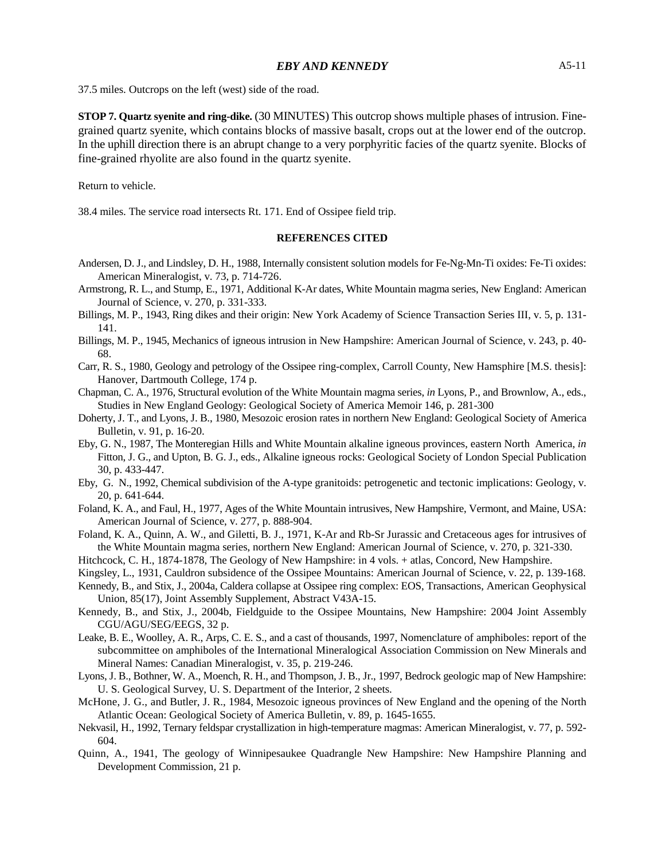37.5 miles. Outcrops on the left (west) side of the road.

**STOP 7. Quartz syenite and ring-dike.** (30 MINUTES) This outcrop shows multiple phases of intrusion. Finegrained quartz syenite, which contains blocks of massive basalt, crops out at the lower end of the outcrop. In the uphill direction there is an abrupt change to a very porphyritic facies of the quartz syenite. Blocks of fine-grained rhyolite are also found in the quartz syenite.

Return to vehicle.

38.4 miles. The service road intersects Rt. 171. End of Ossipee field trip.

#### **REFERENCES CITED**

- Andersen, D. J., and Lindsley, D. H., 1988, Internally consistent solution models for Fe-Ng-Mn-Ti oxides: Fe-Ti oxides: American Mineralogist, v. 73, p. 714-726.
- Armstrong, R. L., and Stump, E., 1971, Additional K-Ar dates, White Mountain magma series, New England: American Journal of Science, v. 270, p. 331-333.
- Billings, M. P., 1943, Ring dikes and their origin: New York Academy of Science Transaction Series III, v. 5, p. 131- 141.
- Billings, M. P., 1945, Mechanics of igneous intrusion in New Hampshire: American Journal of Science, v. 243, p. 40- 68.
- Carr, R. S., 1980, Geology and petrology of the Ossipee ring-complex, Carroll County, New Hamsphire [M.S. thesis]: Hanover, Dartmouth College, 174 p.
- Chapman, C. A., 1976, Structural evolution of the White Mountain magma series, *in* Lyons, P., and Brownlow, A., eds., Studies in New England Geology: Geological Society of America Memoir 146, p. 281-300
- Doherty, J. T., and Lyons, J. B., 1980, Mesozoic erosion rates in northern New England: Geological Society of America Bulletin, v. 91, p. 16-20.
- Eby, G. N., 1987, The Monteregian Hills and White Mountain alkaline igneous provinces, eastern North America, *in* Fitton, J. G., and Upton, B. G. J., eds., Alkaline igneous rocks: Geological Society of London Special Publication 30, p. 433-447.
- Eby, G. N., 1992, Chemical subdivision of the A-type granitoids: petrogenetic and tectonic implications: Geology, v. 20, p. 641-644.
- Foland, K. A., and Faul, H., 1977, Ages of the White Mountain intrusives, New Hampshire, Vermont, and Maine, USA: American Journal of Science, v. 277, p. 888-904.
- Foland, K. A., Quinn, A. W., and Giletti, B. J., 1971, K-Ar and Rb-Sr Jurassic and Cretaceous ages for intrusives of the White Mountain magma series, northern New England: American Journal of Science, v. 270, p. 321-330.
- Hitchcock, C. H., 1874-1878, The Geology of New Hampshire: in 4 vols. + atlas, Concord, New Hampshire.
- Kingsley, L., 1931, Cauldron subsidence of the Ossipee Mountains: American Journal of Science, v. 22, p. 139-168.
- Kennedy, B., and Stix, J., 2004a, Caldera collapse at Ossipee ring complex: EOS, Transactions, American Geophysical Union, 85(17), Joint Assembly Supplement, Abstract V43A-15.
- Kennedy, B., and Stix, J., 2004b, Fieldguide to the Ossipee Mountains, New Hampshire: 2004 Joint Assembly CGU/AGU/SEG/EEGS, 32 p.
- Leake, B. E., Woolley, A. R., Arps, C. E. S., and a cast of thousands, 1997, Nomenclature of amphiboles: report of the subcommittee on amphiboles of the International Mineralogical Association Commission on New Minerals and Mineral Names: Canadian Mineralogist, v. 35, p. 219-246.
- Lyons, J. B., Bothner, W. A., Moench, R. H., and Thompson, J. B., Jr., 1997, Bedrock geologic map of New Hampshire: U. S. Geological Survey, U. S. Department of the Interior, 2 sheets.
- McHone, J. G., and Butler, J. R., 1984, Mesozoic igneous provinces of New England and the opening of the North Atlantic Ocean: Geological Society of America Bulletin, v. 89, p. 1645-1655.
- Nekvasil, H., 1992, Ternary feldspar crystallization in high-temperature magmas: American Mineralogist, v. 77, p. 592- 604.
- Quinn, A., 1941, The geology of Winnipesaukee Quadrangle New Hampshire: New Hampshire Planning and Development Commission, 21 p.